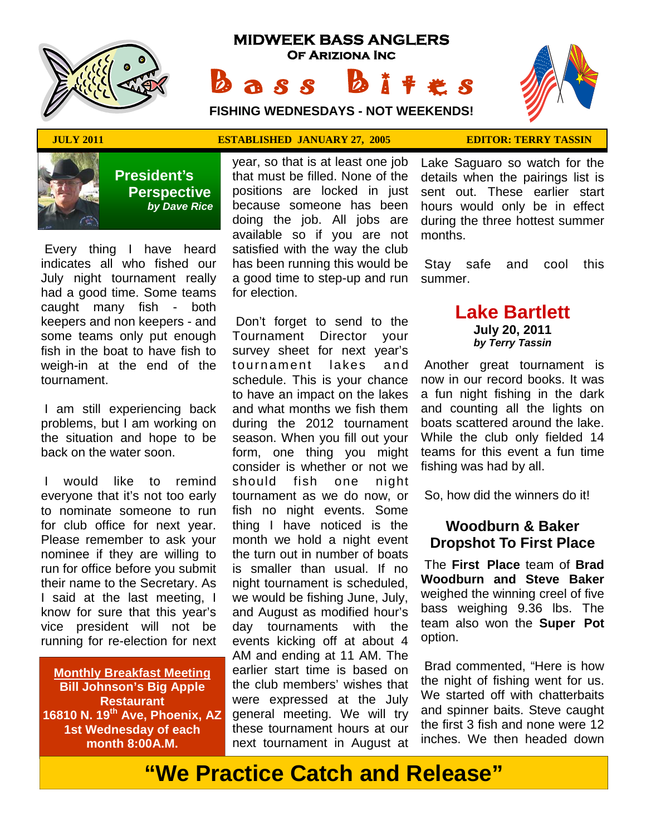

# **MIDWEEK BASS ANGLERS Of Ariziona Inc** Bass Bites

 ★ ★ ★ ★ ★ ★ ★ ★ ★ ★ ★ ★ ★ ★ ★ ★ ★ ★ ★ ★ ★ ★ ★ ★ ★ ★ ★ ★ ★  $\rightarrow$ ★ ★ ★ ★ ★

**FISHING WEDNESDAYS - NOT WEEKENDS!**



 **President's Perspective**   *by Dave Rice*

Every thing I have heard indicates all who fished our July night tournament really had a good time. Some teams caught many fish - both keepers and non keepers - and some teams only put enough fish in the boat to have fish to weigh-in at the end of the tournament.

 I am still experiencing back problems, but I am working on the situation and hope to be back on the water soon.

 I would like to remind everyone that it's not too early to nominate someone to run for club office for next year. Please remember to ask your nominee if they are willing to run for office before you submit their name to the Secretary. As I said at the last meeting, I know for sure that this year's vice president will not be running for re-election for next

**Monthly Breakfast Meeting Bill Johnson's Big Apple Restaurant 16810 N. 19th Ave, Phoenix, AZ 1st Wednesday of each month 8:00A.M.** 

### **JULY 2011 ESTABLISHED JANUARY 27, 2005 EDITOR: TERRY TASSIN**

year, so that is at least one job that must be filled. None of the positions are locked in just because someone has been doing the job. All jobs are available so if you are not satisfied with the way the club has been running this would be a good time to step-up and run for election.

 Don't forget to send to the Tournament Director your survey sheet for next year's tournament lakes and schedule. This is your chance to have an impact on the lakes and what months we fish them during the 2012 tournament season. When you fill out your form, one thing you might consider is whether or not we should fish one night tournament as we do now, or fish no night events. Some thing I have noticed is the month we hold a night event the turn out in number of boats is smaller than usual. If no night tournament is scheduled, we would be fishing June, July, and August as modified hour's day tournaments with the events kicking off at about 4 AM and ending at 11 AM. The earlier start time is based on the club members' wishes that were expressed at the July general meeting. We will try these tournament hours at our next tournament in August at

Lake Saguaro so watch for the details when the pairings list is sent out. These earlier start hours would only be in effect during the three hottest summer months.

 Stay safe and cool this summer.

# **Lake Bartlett**

**July 20, 2011**  *by Terry Tassin* 

Another great tournament is now in our record books. It was a fun night fishing in the dark and counting all the lights on boats scattered around the lake. While the club only fielded 14 teams for this event a fun time fishing was had by all.

So, how did the winners do it!

# **Woodburn & Baker Dropshot To First Place**

 The **First Place** team of **Brad Woodburn and Steve Baker**  weighed the winning creel of five bass weighing 9.36 lbs. The team also won the **Super Pot**  option.

 Brad commented, "Here is how the night of fishing went for us. We started off with chatterbaits and spinner baits. Steve caught the first 3 fish and none were 12 inches. We then headed down

# **"We Practice Catch and Release"**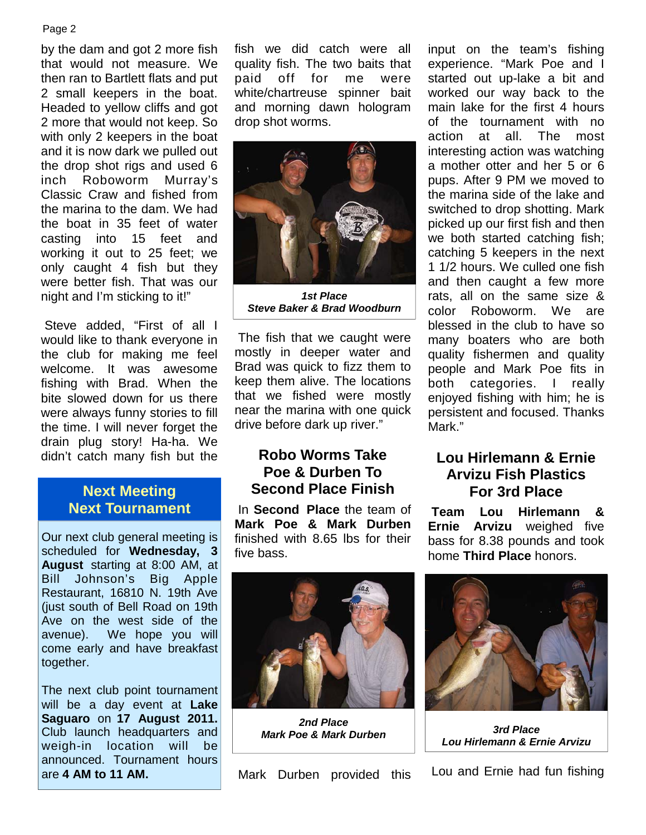by the dam and got 2 more fish that would not measure. We then ran to Bartlett flats and put 2 small keepers in the boat. Headed to yellow cliffs and got 2 more that would not keep. So with only 2 keepers in the boat and it is now dark we pulled out the drop shot rigs and used 6 inch Roboworm Murray's Classic Craw and fished from the marina to the dam. We had the boat in 35 feet of water casting into 15 feet and working it out to 25 feet; we only caught 4 fish but they were better fish. That was our night and I'm sticking to it!"

 Steve added, "First of all I would like to thank everyone in the club for making me feel welcome. It was awesome fishing with Brad. When the bite slowed down for us there were always funny stories to fill the time. I will never forget the drain plug story! Ha-ha. We didn't catch many fish but the

# **Next Meeting Next Tournament**

Our next club general meeting is scheduled for **Wednesday, 3 August** starting at 8:00 AM, at Bill Johnson's Big Apple Restaurant, 16810 N. 19th Ave (just south of Bell Road on 19th Ave on the west side of the avenue). We hope you will come early and have breakfast together.

The next club point tournament will be a day event at **Lake Saguaro** on **17 August 2011.**  Club launch headquarters and weigh-in location will be announced. Tournament hours are **4 AM to 11 AM.**

fish we did catch were all quality fish. The two baits that paid off for me were white/chartreuse spinner bait and morning dawn hologram drop shot worms.



*1st Place Steve Baker & Brad Woodburn* 

 The fish that we caught were mostly in deeper water and Brad was quick to fizz them to keep them alive. The locations that we fished were mostly near the marina with one quick drive before dark up river."

# **Robo Worms Take Poe & Durben To Second Place Finish**

 In **Second Place** the team of **Mark Poe & Mark Durben**  finished with 8.65 lbs for their five bass.



# **Lou Hirlemann & Ernie Arvizu Fish Plastics For 3rd Place**

**Team Lou Hirlemann & Ernie Arvizu** weighed five bass for 8.38 pounds and took home **Third Place** honors.



*2nd Place Mark Poe & Mark Durben 3rd Place* 

Mark Durben provided this



*Lou Hirlemann & Ernie Arvizu* 

Lou and Ernie had fun fishing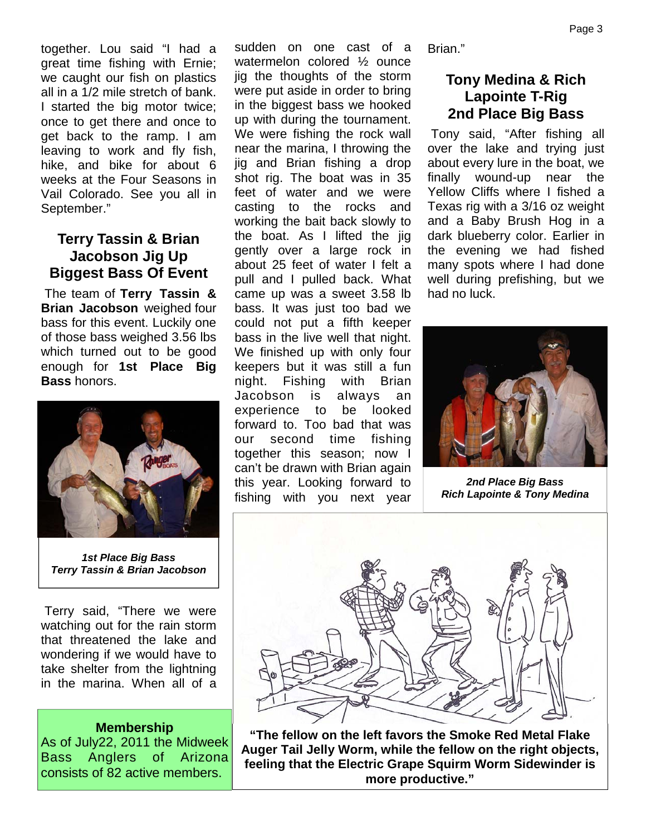together. Lou said "I had a great time fishing with Ernie; we caught our fish on plastics all in a 1/2 mile stretch of bank. I started the big motor twice; once to get there and once to get back to the ramp. I am leaving to work and fly fish, hike, and bike for about 6 weeks at the Four Seasons in Vail Colorado. See you all in September."

# **Terry Tassin & Brian Jacobson Jig Up Biggest Bass Of Event**

 The team of **Terry Tassin & Brian Jacobson** weighed four bass for this event. Luckily one of those bass weighed 3.56 lbs which turned out to be good enough for **1st Place Big Bass** honors.



*1st Place Big Bass Terry Tassin & Brian Jacobson*

 Terry said, "There we were watching out for the rain storm that threatened the lake and wondering if we would have to take shelter from the lightning in the marina. When all of a

#### **Membership**

As of July22, 2011 the Midweek Bass Anglers of Arizona consists of 82 active members.

sudden on one cast of a watermelon colored ½ ounce jig the thoughts of the storm were put aside in order to bring in the biggest bass we hooked up with during the tournament. We were fishing the rock wall near the marina, I throwing the jig and Brian fishing a drop shot rig. The boat was in 35 feet of water and we were casting to the rocks and working the bait back slowly to the boat. As I lifted the jig gently over a large rock in about 25 feet of water I felt a pull and I pulled back. What came up was a sweet 3.58 lb bass. It was just too bad we could not put a fifth keeper bass in the live well that night. We finished up with only four keepers but it was still a fun night. Fishing with Brian Jacobson is always an experience to be looked forward to. Too bad that was our second time fishing together this season; now I can't be drawn with Brian again this year. Looking forward to fishing with you next year

Brian."

# **Tony Medina & Rich Lapointe T-Rig 2nd Place Big Bass**

 Tony said, "After fishing all over the lake and trying just about every lure in the boat, we finally wound-up near the Yellow Cliffs where I fished a Texas rig with a 3/16 oz weight and a Baby Brush Hog in a dark blueberry color. Earlier in the evening we had fished many spots where I had done well during prefishing, but we had no luck.



*2nd Place Big Bass Rich Lapointe & Tony Medina* 



**"The fellow on the left favors the Smoke Red Metal Flake Auger Tail Jelly Worm, while the fellow on the right objects, feeling that the Electric Grape Squirm Worm Sidewinder is more productive."**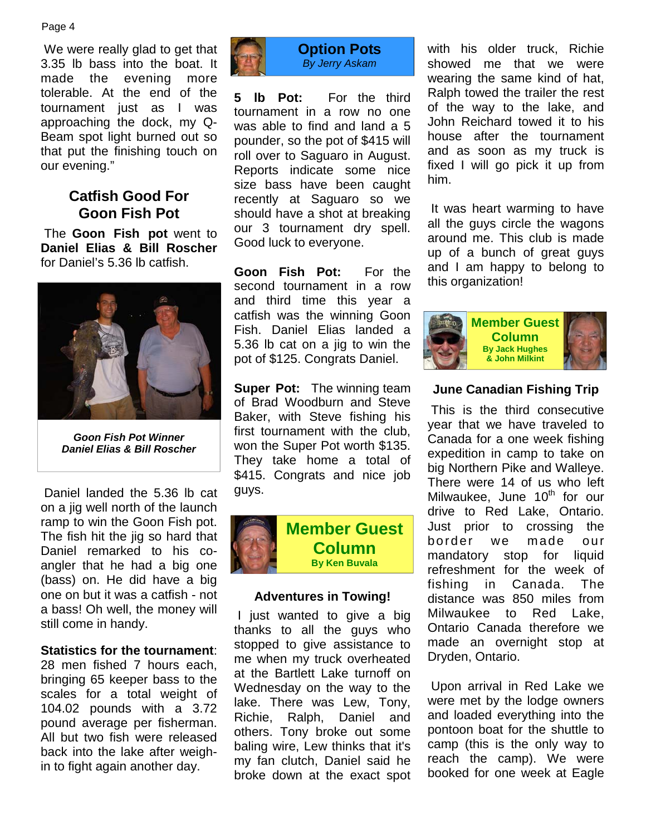We were really glad to get that 3.35 lb bass into the boat. It made the evening more tolerable. At the end of the tournament just as I was approaching the dock, my Q-Beam spot light burned out so that put the finishing touch on our evening."

# **Catfish Good For Goon Fish Pot**

 The **Goon Fish pot** went to **Daniel Elias & Bill Roscher** for Daniel's 5.36 lb catfish.



*Goon Fish Pot Winner Daniel Elias & Bill Roscher*

 Daniel landed the 5.36 lb cat on a jig well north of the launch ramp to win the Goon Fish pot. The fish hit the jig so hard that Daniel remarked to his coangler that he had a big one (bass) on. He did have a big one on but it was a catfish - not a bass! Oh well, the money will still come in handy.

#### **Statistics for the tournament**:

28 men fished 7 hours each, bringing 65 keeper bass to the scales for a total weight of 104.02 pounds with a 3.72 pound average per fisherman. All but two fish were released back into the lake after weighin to fight again another day.



**5 lb Pot:** For the third tournament in a row no one was able to find and land a 5 pounder, so the pot of \$415 will roll over to Saguaro in August. Reports indicate some nice size bass have been caught recently at Saguaro so we should have a shot at breaking our 3 tournament dry spell. Good luck to everyone.

**Goon Fish Pot:** For the second tournament in a row and third time this year a catfish was the winning Goon Fish. Daniel Elias landed a 5.36 lb cat on a jig to win the pot of \$125. Congrats Daniel.

**Super Pot:** The winning team of Brad Woodburn and Steve Baker, with Steve fishing his first tournament with the club, won the Super Pot worth \$135. They take home a total of \$415. Congrats and nice job guys.



#### **Adventures in Towing!**

 I just wanted to give a big thanks to all the guys who stopped to give assistance to me when my truck overheated at the Bartlett Lake turnoff on Wednesday on the way to the lake. There was Lew, Tony, Richie, Ralph, Daniel and others. Tony broke out some baling wire, Lew thinks that it's my fan clutch, Daniel said he broke down at the exact spot with his older truck, Richie showed me that we were wearing the same kind of hat, Ralph towed the trailer the rest of the way to the lake, and John Reichard towed it to his house after the tournament and as soon as my truck is fixed I will go pick it up from him.

 It was heart warming to have all the guys circle the wagons around me. This club is made up of a bunch of great guys and I am happy to belong to this organization!



#### **June Canadian Fishing Trip**

 This is the third consecutive year that we have traveled to Canada for a one week fishing expedition in camp to take on big Northern Pike and Walleye. There were 14 of us who left Milwaukee, June  $10<sup>th</sup>$  for our drive to Red Lake, Ontario. Just prior to crossing the border we made our mandatory stop for liquid refreshment for the week of fishing in Canada. The distance was 850 miles from Milwaukee to Red Lake, Ontario Canada therefore we made an overnight stop at Dryden, Ontario.

 Upon arrival in Red Lake we were met by the lodge owners and loaded everything into the pontoon boat for the shuttle to camp (this is the only way to reach the camp). We were booked for one week at Eagle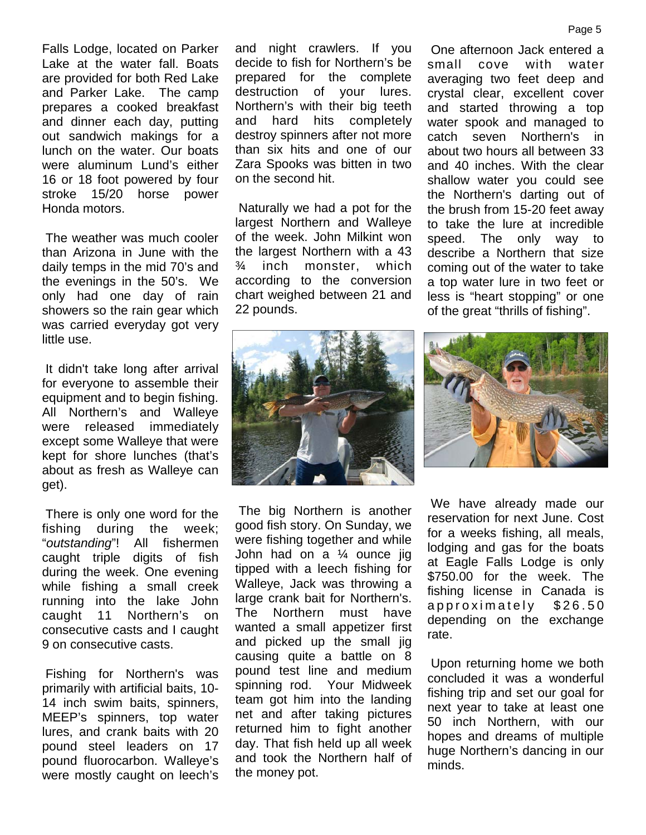Falls Lodge, located on Parker Lake at the water fall. Boats are provided for both Red Lake and Parker Lake. The camp prepares a cooked breakfast and dinner each day, putting out sandwich makings for a lunch on the water. Our boats were aluminum Lund's either 16 or 18 foot powered by four stroke 15/20 horse power Honda motors.

 The weather was much cooler than Arizona in June with the daily temps in the mid 70's and the evenings in the 50's. We only had one day of rain showers so the rain gear which was carried everyday got very little use.

 It didn't take long after arrival for everyone to assemble their equipment and to begin fishing. All Northern's and Walleye were released immediately except some Walleye that were kept for shore lunches (that's about as fresh as Walleye can get).

 There is only one word for the fishing during the week; "*outstanding*"! All fishermen caught triple digits of fish during the week. One evening while fishing a small creek running into the lake John caught 11 Northern's on consecutive casts and I caught 9 on consecutive casts.

 Fishing for Northern's was primarily with artificial baits, 10- 14 inch swim baits, spinners, MEEP's spinners, top water lures, and crank baits with 20 pound steel leaders on 17 pound fluorocarbon. Walleye's were mostly caught on leech's and night crawlers. If you decide to fish for Northern's be prepared for the complete destruction of your lures. Northern's with their big teeth and hard hits completely destroy spinners after not more than six hits and one of our Zara Spooks was bitten in two on the second hit.

 Naturally we had a pot for the largest Northern and Walleye of the week. John Milkint won the largest Northern with a 43 ¾ inch monster, which according to the conversion chart weighed between 21 and 22 pounds.



 The big Northern is another good fish story. On Sunday, we were fishing together and while John had on a ¼ ounce jig tipped with a leech fishing for Walleye, Jack was throwing a large crank bait for Northern's. The Northern must have wanted a small appetizer first and picked up the small jig causing quite a battle on 8 pound test line and medium spinning rod. Your Midweek team got him into the landing net and after taking pictures returned him to fight another day. That fish held up all week and took the Northern half of the money pot.

 One afternoon Jack entered a small cove with water averaging two feet deep and crystal clear, excellent cover and started throwing a top water spook and managed to catch seven Northern's in about two hours all between 33 and 40 inches. With the clear shallow water you could see the Northern's darting out of the brush from 15-20 feet away to take the lure at incredible speed. The only way to describe a Northern that size coming out of the water to take a top water lure in two feet or less is "heart stopping" or one of the great "thrills of fishing".



 We have already made our reservation for next June. Cost for a weeks fishing, all meals, lodging and gas for the boats at Eagle Falls Lodge is only \$750.00 for the week. The fishing license in Canada is a p p r o x i m a t e l y \$ 26.50 depending on the exchange rate.

 Upon returning home we both concluded it was a wonderful fishing trip and set our goal for next year to take at least one 50 inch Northern, with our hopes and dreams of multiple huge Northern's dancing in our minds.

#### Page 5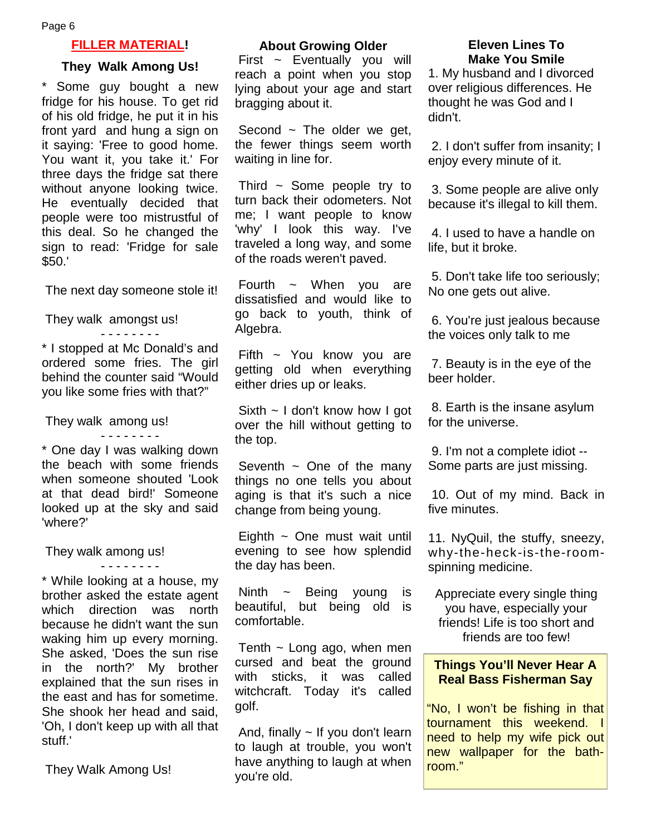#### **FILLER MATERIAL!**

#### **They Walk Among Us!**

\* Some guy bought a new fridge for his house. To get rid of his old fridge, he put it in his front yard and hung a sign on it saying: 'Free to good home. You want it, you take it.' For three days the fridge sat there without anyone looking twice. He eventually decided that people were too mistrustful of this deal. So he changed the sign to read: 'Fridge for sale \$50.'

The next day someone stole it!

 They walk amongst us! - - - - - - - -

\* I stopped at Mc Donald's and ordered some fries. The girl behind the counter said "Would you like some fries with that?"

They walk among us!

- - - - - - - - \* One day I was walking down the beach with some friends when someone shouted 'Look at that dead bird!' Someone looked up at the sky and said 'where?'

- - - - - - - -

They walk among us!

\* While looking at a house, my brother asked the estate agent which direction was north because he didn't want the sun waking him up every morning. She asked, 'Does the sun rise in the north?' My brother explained that the sun rises in the east and has for sometime. She shook her head and said, 'Oh, I don't keep up with all that stuff.'

They Walk Among Us!

#### **About Growing Older**

First ~ Eventually you will reach a point when you stop lying about your age and start bragging about it.

Second  $\sim$  The older we get, the fewer things seem worth waiting in line for.

Third  $\sim$  Some people try to turn back their odometers. Not me; I want people to know 'why' I look this way. I've traveled a long way, and some of the roads weren't paved.

Fourth  $\sim$  When you are dissatisfied and would like to go back to youth, think of Algebra.

Fifth  $\sim$  You know you are getting old when everything either dries up or leaks.

 Sixth ~ I don't know how I got over the hill without getting to the top.

Seventh  $\sim$  One of the many things no one tells you about aging is that it's such a nice change from being young.

Eighth  $\sim$  One must wait until evening to see how splendid the day has been.

Ninth ~ Being young is beautiful, but being old is comfortable.

Tenth  $\sim$  Long ago, when men cursed and beat the ground with sticks, it was called witchcraft. Today it's called golf.

And, finally  $\sim$  If you don't learn to laugh at trouble, you won't have anything to laugh at when you're old.

#### **Eleven Lines To Make You Smile**

1. My husband and I divorced over religious differences. He thought he was God and I didn't.

 2. I don't suffer from insanity; I enjoy every minute of it.

 3. Some people are alive only because it's illegal to kill them.

 4. I used to have a handle on life, but it broke.

 5. Don't take life too seriously; No one gets out alive.

 6. You're just jealous because the voices only talk to me

 7. Beauty is in the eye of the beer holder.

 8. Earth is the insane asylum for the universe.

 9. I'm not a complete idiot -- Some parts are just missing.

 10. Out of my mind. Back in five minutes.

11. NyQuil, the stuffy, sneezy, why-the-heck-is-the-roomspinning medicine.

Appreciate every single thing you have, especially your friends! Life is too short and friends are too few!

#### **Things You'll Never Hear A Real Bass Fisherman Say**

"No, I won't be fishing in that tournament this weekend. I need to help my wife pick out new wallpaper for the bathroom."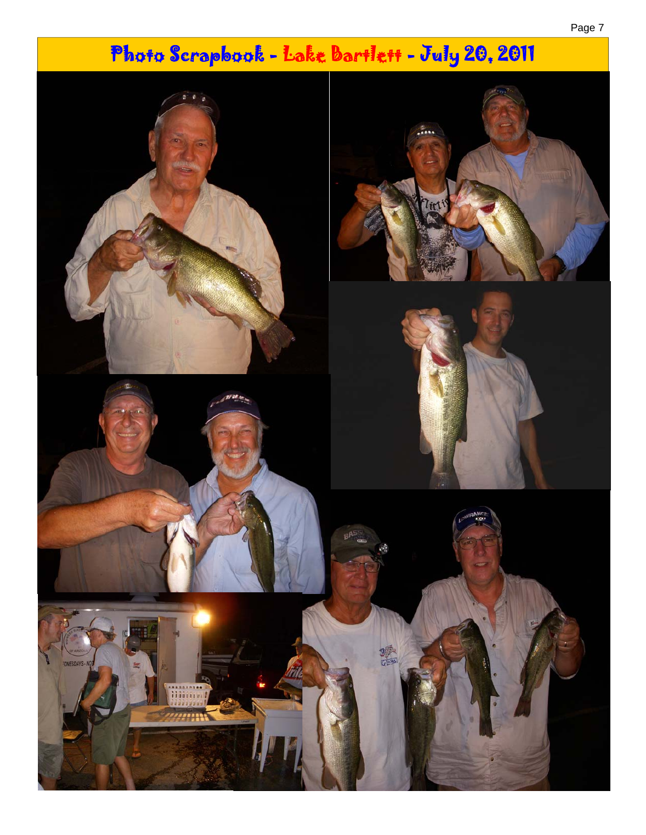# Photo Scrapbook - Lake Bartlett - July 20, 2011